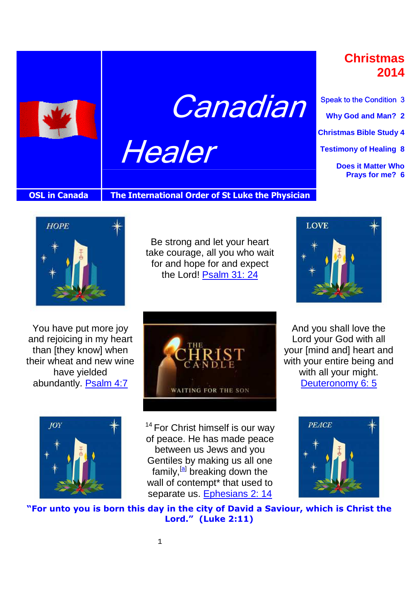

**Canadian** 

Healer

**Christmas 2014**

Speak to the Condition 3 **Why God and Man? 2 Christmas Bible Study 4 Testimony of Healing 8 Does it Matter Who Prays for me? 6**

. .

#### **OSL in Canada** The International Order of St Luke the Physician



Be strong and let your heart take courage, all you who wait for and hope for and expect the Lord! Psalm 31: 24



And you shall love the Lord your God with all your [mind and] heart and with your entire being and with all your might. Deuteronomy 6: 5

You have put more joy and rejoicing in my heart than [they know] when their wheat and new wine have yielded abundantly. Psalm 4:7





 $14$  For Christ himself is our way of peace. He has made peace between us Jews and you Gentiles by making us all one family,<sup>[a]</sup> breaking down the wall of contempt<sup>\*</sup> that used to separate us. Ephesians 2: 14



**"For unto you is born this day in the city of David a Saviour, which is Christ the Lord." (Luke 2:11)**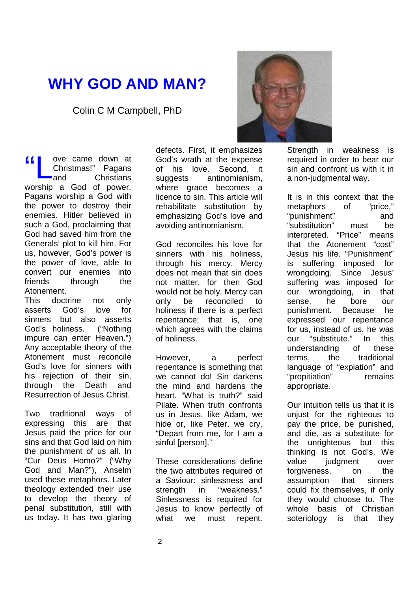## **WHY GOD AND MAN?**

Colin C M Campbell, PhD

ove came down at Christmas!" Pagans and Christians worship a God of power. Pagans worship a God with the power to destroy their enemies. Hitler believed in such a God, proclaiming that God had saved him from the Generals' plot to kill him. For us, however, God's power is the power of love, able to convert our enemies into friends through the Atonement. "L

This doctrine not only asserts God's love for sinners but also asserts God's holiness. ("Nothing impure can enter Heaven.") Any acceptable theory of the Atonement must reconcile God's love for sinners with his rejection of their sin. through the Death and Resurrection of Jesus Christ.

Two traditional ways of expressing this are that Jesus paid the price for our sins and that God laid on him the punishment of us all. In "Cur Deus Homo?" ("Why God and Man?"), Anselm used these metaphors. Later theology extended their use to develop the theory of penal substitution, still with us today. It has two glaring

defects. First, it emphasizes God's wrath at the expense of his love. Second, it suggests antinomianism, where grace becomes a licence to sin. This article will rehabilitate substitution by emphasizing God's love and avoiding antinomianism.

God reconciles his love for sinners with his holiness, through his mercy. Mercy does not mean that sin does not matter, for then God would not be holy. Mercy can only be reconciled to holiness if there is a perfect repentance; that is, one which agrees with the claims of holiness.

However, a perfect repentance is something that we cannot do! Sin darkens the mind and hardens the heart. "What is truth?" said Pilate. When truth confronts us in Jesus, like Adam, we hide or, like Peter, we cry, "Depart from me, for I am a sinful [person]."

These considerations define the two attributes required of a Saviour: sinlessness and strength in "weakness." Sinlessness is required for Jesus to know perfectly of what we must repent.



Strength in weakness is required in order to bear our sin and confront us with it in a non-judgmental way.

It is in this context that the metaphors of "price," "punishment" and "substitution" must be interpreted. "Price" means that the Atonement "cost" Jesus his life. "Punishment" is suffering imposed for wrongdoing. Since Jesus' suffering was imposed for our wrongdoing, in that sense, he bore our punishment. Because he expressed our repentance for us, instead of us, he was our "substitute." In this understanding of these terms, the traditional language of "expiation" and "propitiation" remains appropriate.

Our intuition tells us that it is unjust for the righteous to pay the price, be punished, and die, as a substitute for the unrighteous but this thinking is not God's. We value judgment over forgiveness, on the assumption that sinners could fix themselves, if only they would choose to. The whole basis of Christian soteriology is that they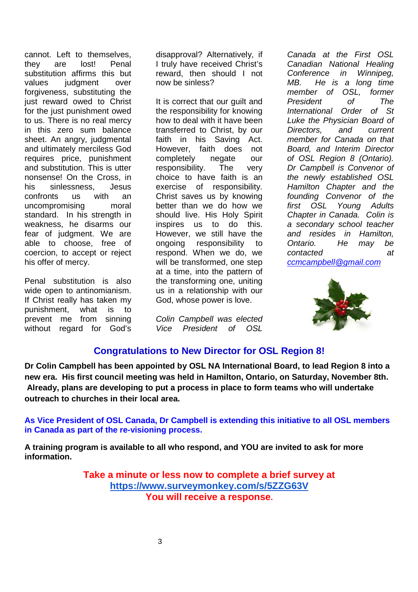cannot. Left to themselves, they are lost! Penal substitution affirms this but values judgment over forgiveness, substituting the just reward owed to Christ for the just punishment owed to us. There is no real mercy in this zero sum balance sheet. An angry, judgmental and ultimately merciless God requires price, punishment and substitution. This is utter nonsense! On the Cross, in his sinlessness, Jesus confronts us with an uncompromising moral standard. In his strength in weakness, he disarms our fear of judgment. We are able to choose, free of coercion, to accept or reject his offer of mercy.

Penal substitution is also wide open to antinomianism. If Christ really has taken my punishment, what is to prevent me from sinning without regard for God's disapproval? Alternatively, if I truly have received Christ's reward, then should I not now be sinless?

It is correct that our guilt and the responsibility for knowing how to deal with it have been transferred to Christ, by our faith in his Saving Act. However, faith does not completely negate our responsibility. The very choice to have faith is an exercise of responsibility. Christ saves us by knowing better than we do how we should live. His Holy Spirit inspires us to do this. However, we still have the ongoing responsibility to respond. When we do, we will be transformed, one step at a time, into the pattern of the transforming one, uniting us in a relationship with our God, whose power is love.

Colin Campbell was elected Vice President of OSL

Canada at the First OSL Canadian National Healing Conference in Winnipeg, MB. He is a long time member of OSL, former President of The International Order of St Luke the Physician Board of Directors, and current member for Canada on that Board, and Interim Director of OSL Region 8 (Ontario). Dr Campbell is Convenor of the newly established OSL Hamilton Chapter and the founding Convenor of the first OSL Young Adults Chapter in Canada. Colin is a secondary school teacher and resides in Hamilton, Ontario. He may be contacted at ccmcampbell@gmail.com



#### **Congratulations to New Director for OSL Region 8!**

**Dr Colin Campbell has been appointed by OSL NA International Board, to lead Region 8 into a new era. His first council meeting was held in Hamilton, Ontario, on Saturday, November 8th. Already, plans are developing to put a process in place to form teams who will undertake outreach to churches in their local area.** 

**As Vice President of OSL Canada, Dr Campbell is extending this initiative to all OSL members in Canada as part of the re-visioning process.**

**A training program is available to all who respond, and YOU are invited to ask for more information.**

> **Take a minute or less now to complete a brief survey at https://www.surveymonkey.com/s/5ZZG63V You will receive a response.**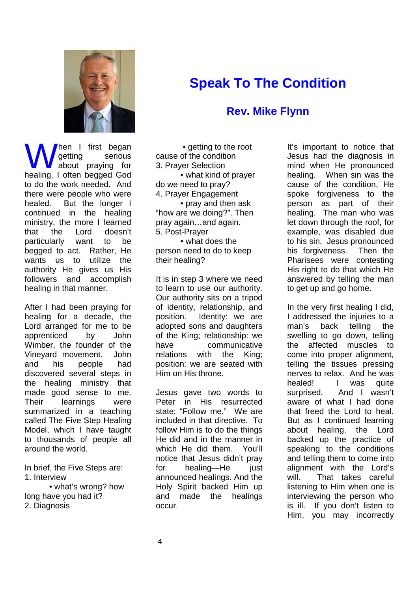

hen I first began getting serious about praying for **M** hen I first began<br>
getting serious<br>
healing, I often begged God to do the work needed. And there were people who were healed. But the longer I continued in the healing ministry, the more I learned that the Lord doesn't particularly want to be begged to act. Rather, He wants us to utilize the authority He gives us His followers and accomplish healing in that manner.

After I had been praying for healing for a decade, the Lord arranged for me to be apprenticed by John Wimber, the founder of the Vineyard movement. John and his people had discovered several steps in the healing ministry that made good sense to me. Their learnings were summarized in a teaching called The Five Step Healing Model, which I have taught to thousands of people all around the world.

In brief, the Five Steps are: 1. Interview

 • what's wrong? how long have you had it? 2. Diagnosis

 • getting to the root cause of the condition 3. Prayer Selection • what kind of prayer do we need to pray? 4. Prayer Engagement • pray and then ask "how are we doing?". Then pray again…and again. 5. Post-Prayer

**Speak To The Condition** 

**Rev. Mike Flynn** 

 • what does the person need to do to keep their healing?

It is in step 3 where we need to learn to use our authority. Our authority sits on a tripod of identity, relationship, and position. Identity: we are adopted sons and daughters of the King; relationship: we have communicative relations with the King; position: we are seated with Him on His throne.

Jesus gave two words to Peter in His resurrected state: "Follow me." We are included in that directive. To follow Him is to do the things He did and in the manner in which He did them. You'll notice that Jesus didn't pray for healing—He just announced healings. And the Holy Spirit backed Him up and made the healings occur.

#### It's important to notice that Jesus had the diagnosis in mind when He pronounced healing. When sin was the cause of the condition, He spoke forgiveness to the person as part of their healing. The man who was let down through the roof, for example, was disabled due to his sin. Jesus pronounced his forgiveness. Then the Pharisees were contesting His right to do that which He answered by telling the man to get up and go home.

In the very first healing I did, I addressed the injuries to a man's back telling the swelling to go down, telling the affected muscles to come into proper alignment, telling the tissues pressing nerves to relax. And he was healed! I was quite surprised. And I wasn't aware of what I had done that freed the Lord to heal. But as I continued learning about healing, the Lord backed up the practice of speaking to the conditions and telling them to come into alignment with the Lord's will. That takes careful listening to Him when one is interviewing the person who is ill. If you don't listen to Him, you may incorrectly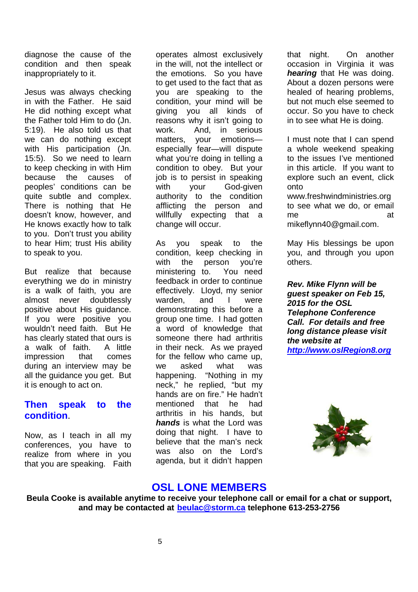diagnose the cause of the condition and then speak inappropriately to it.

Jesus was always checking in with the Father. He said He did nothing except what the Father told Him to do (Jn. 5:19). He also told us that we can do nothing except with His participation (Jn. 15:5). So we need to learn to keep checking in with Him because the causes of peoples' conditions can be quite subtle and complex. There is nothing that He doesn't know, however, and He knows exactly how to talk to you. Don't trust you ability to hear Him; trust His ability to speak to you.

But realize that because everything we do in ministry is a walk of faith, you are almost never doubtlessly positive about His guidance. If you were positive you wouldn't need faith. But He has clearly stated that ours is a walk of faith. A little impression that comes during an interview may be all the guidance you get. But it is enough to act on.

#### **Then speak to the condition**.

Now, as I teach in all my conferences, you have to realize from where in you that you are speaking. Faith

operates almost exclusively in the will, not the intellect or the emotions. So you have to get used to the fact that as you are speaking to the condition, your mind will be giving you all kinds of reasons why it isn't going to work. And, in serious matters, your emotions especially fear—will dispute what you're doing in telling a condition to obey. But your job is to persist in speaking with your God-given authority to the condition afflicting the person and willfully expecting that a change will occur.

As you speak to the condition, keep checking in with the person you're ministering to. You need feedback in order to continue effectively. Lloyd, my senior warden, and I were demonstrating this before a group one time. I had gotten a word of knowledge that someone there had arthritis in their neck. As we prayed for the fellow who came up, we asked what was happening. "Nothing in my neck," he replied, "but my hands are on fire." He hadn't mentioned that he had arthritis in his hands, but **hands** is what the Lord was doing that night. I have to believe that the man's neck was also on the Lord's agenda, but it didn't happen

that night. On another occasion in Virginia it was **hearing** that He was doing. About a dozen persons were healed of hearing problems, but not much else seemed to occur. So you have to check in to see what He is doing.

I must note that I can spend a whole weekend speaking to the issues I've mentioned in this article. If you want to explore such an event, click onto

www.freshwindministries.org to see what we do, or email me at mikeflynn40@gmail.com.

May His blessings be upon you, and through you upon others.

**Rev. Mike Flynn will be guest speaker on Feb 15, 2015 for the OSL Telephone Conference Call. For details and free long distance please visit the website at http://www.oslRegion8.org** 



#### **OSL LONE MEMBERS**

**Beula Cooke is available anytime to receive your telephone call or email for a chat or support, and may be contacted at beulac@storm.ca telephone 613-253-2756**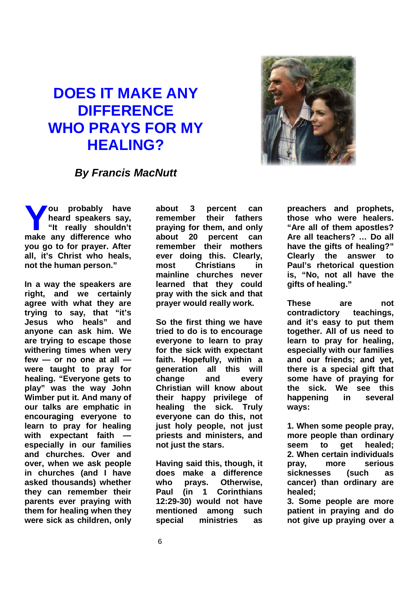# **DOES IT MAKE ANY DIFFERENCE WHO PRAYS FOR MY HEALING?**



### **By Francis MacNutt**

**ou probably have heard speakers say, "It really shouldn't make any difference who allow the any difference who <b>reduce to the angle of the angle of the angle of the angle of the angle of the angle of the angle of the angle of the angle of the angle of the angle of the angle of t you go to for prayer. After all, it's Christ who heals, not the human person."** 

**In a way the speakers are right, and we certainly agree with what they are trying to say, that "it's Jesus who heals" and anyone can ask him. We are trying to escape those withering times when very few — or no one at all were taught to pray for healing. "Everyone gets to play" was the way John Wimber put it. And many of our talks are emphatic in encouraging everyone to learn to pray for healing**  with expectant faith **especially in our families and churches. Over and over, when we ask people in churches (and I have asked thousands) whether they can remember their parents ever praying with them for healing when they were sick as children, only**  **about 3 percent can remember their fathers praying for them, and only about 20 percent can remember their mothers ever doing this. Clearly, most Christians in mainline churches never learned that they could pray with the sick and that prayer would really work.** 

**So the first thing we have tried to do is to encourage everyone to learn to pray for the sick with expectant faith. Hopefully, within a generation all this will change and every Christian will know about their happy privilege of healing the sick. Truly everyone can do this, not just holy people, not just priests and ministers, and not just the stars.** 

**Having said this, though, it does make a difference who prays. Otherwise, Paul (in 1 Corinthians 12:29-30) would not have mentioned among such special ministries as** 

**preachers and prophets, those who were healers. "Are all of them apostles? Are all teachers? … Do all have the gifts of healing?" Clearly the answer to Paul's rhetorical question is, "No, not all have the gifts of healing."** 

**These are not contradictory teachings, and it's easy to put them together. All of us need to learn to pray for healing, especially with our families and our friends; and yet, there is a special gift that some have of praying for the sick. We see this happening in several ways:** 

**1. When some people pray, more people than ordinary seem to get healed; 2. When certain individuals pray, more serious sicknesses (such as cancer) than ordinary are healed;** 

**3. Some people are more patient in praying and do not give up praying over a**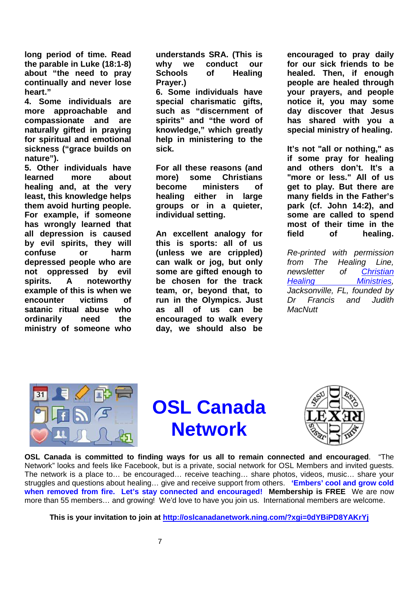**long period of time. Read the parable in Luke (18:1-8) about "the need to pray continually and never lose heart."** 

**4. Some individuals are more approachable and compassionate and are naturally gifted in praying for spiritual and emotional sickness ("grace builds on nature").** 

**5. Other individuals have learned more about healing and, at the very least, this knowledge helps them avoid hurting people. For example, if someone has wrongly learned that all depression is caused by evil spirits, they will confuse or harm depressed people who are not oppressed by evil spirits. A noteworthy example of this is when we encounter victims of satanic ritual abuse who ordinarily need the ministry of someone who**  **understands SRA. (This is why we conduct our Schools of Healing Prayer.)** 

**6. Some individuals have special charismatic gifts, such as "discernment of spirits" and "the word of knowledge," which greatly help in ministering to the sick.** 

**For all these reasons (and more) some Christians become ministers of healing either in large groups or in a quieter, individual setting.** 

**An excellent analogy for this is sports: all of us (unless we are crippled) can walk or jog, but only some are gifted enough to be chosen for the track team, or, beyond that, to run in the Olympics. Just as all of us can be encouraged to walk every day, we should also be** 

**encouraged to pray daily for our sick friends to be healed. Then, if enough people are healed through your prayers, and people notice it, you may some day discover that Jesus has shared with you a special ministry of healing.** 

**It's not "all or nothing," as if some pray for healing and others don't. It's a "more or less." All of us get to play. But there are many fields in the Father's park (cf. John 14:2), and some are called to spend most of their time in the field of healing.** 

Re-printed with permission from The Healing Line, newsletter of Christian Healing **Ministries**, Jacksonville, FL, founded by Dr Francis and Judith **MacNutt** 



**OSL Canada Network** 



**OSL Canada is committed to finding ways for us all to remain connected and encouraged**. "The Network" looks and feels like Facebook, but is a private, social network for OSL Members and invited guests. The network is a place to… be encouraged… receive teaching… share photos, videos, music… share your struggles and questions about healing… give and receive support from others. **'Embers' cool and grow cold when removed from fire. Let's stay connected and encouraged! Membership is FREE** We are now more than 55 members… and growing! We'd love to have you join us. International members are welcome.

**This is your invitation to join at http://oslcanadanetwork.ning.com/?xgi=0dYBiPD8YAKrYj**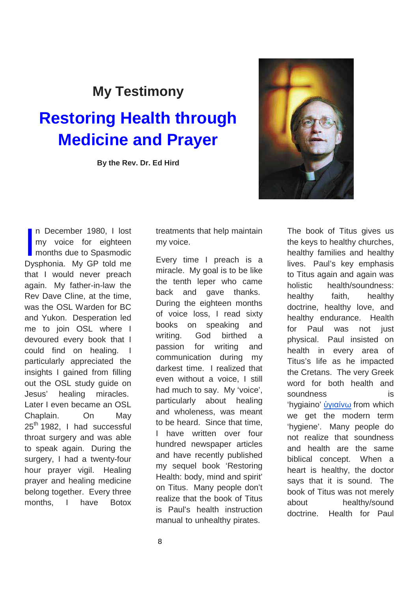### **My Testimony**

# **Restoring Health through Medicine and Prayer**

**By the Rev. Dr. Ed Hird**



n December 1980, I lost my voice for eighteen months due to Spasmodic n December 1980, I lost<br>my voice for eighteen<br>months due to Spasmodic<br>Dysphonia. My GP told me that I would never preach again. My father-in-law the Rev Dave Cline, at the time, was the OSL Warden for BC and Yukon. Desperation led me to join OSL where I devoured every book that I could find on healing. particularly appreciated the insights I gained from filling out the OSL study guide on Jesus' healing miracles. Later I even became an OSL Chaplain. On May 25<sup>th</sup> 1982, I had successful throat surgery and was able to speak again. During the surgery, I had a twenty-four hour prayer vigil. Healing prayer and healing medicine belong together. Every three months, I have Botox

treatments that help maintain my voice.

Every time I preach is a miracle. My goal is to be like the tenth leper who came back and gave thanks. During the eighteen months of voice loss, I read sixty books on speaking and writing. God birthed a passion for writing and communication during my darkest time. I realized that even without a voice, I still had much to say. My 'voice', particularly about healing and wholeness, was meant to be heard. Since that time, I have written over four hundred newspaper articles and have recently published my sequel book 'Restoring Health: body, mind and spirit' on Titus. Many people don't realize that the book of Titus is Paul's health instruction manual to unhealthy pirates.

The book of Titus gives us the keys to healthy churches, healthy families and healthy lives. Paul's key emphasis to Titus again and again was holistic health/soundness: healthy faith, healthy doctrine, healthy love, and healthy endurance. Health for Paul was not just physical. Paul insisted on health in every area of Titus's life as he impacted the Cretans. The very Greek word for both health and soundness is 'hygiaino' ὑγιαίνω from which we get the modern term 'hygiene'. Many people do not realize that soundness and health are the same biblical concept. When a heart is healthy, the doctor says that it is sound. The book of Titus was not merely about healthy/sound doctrine. Health for Paul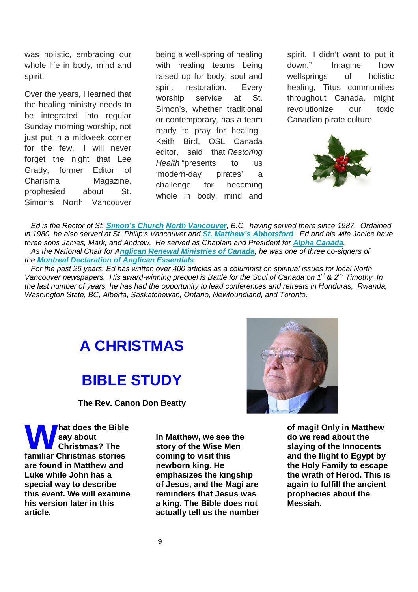was holistic, embracing our whole life in body, mind and spirit.

Over the years, I learned that the healing ministry needs to be integrated into regular Sunday morning worship, not just put in a midweek corner for the few. I will never forget the night that Lee Grady, former Editor of Charisma Magazine, prophesied about St. Simon's North Vancouver being a well-spring of healing with healing teams being raised up for body, soul and spirit restoration. Every worship service at St. Simon's, whether traditional or contemporary, has a team ready to pray for healing. Keith Bird, OSL Canada editor, said that Restoring Health "presents to us 'modern-day pirates' a challenge for becoming whole in body, mind and

spirit. I didn't want to put it down." Imagine how wellsprings of holistic healing, Titus communities throughout Canada, might revolutionize our toxic Canadian pirate culture.



 Ed is the Rector of St. **Simon's Church North Vancouver**, B.C., having served there since 1987. Ordained in 1980, he also served at St. Philip's Vancouver and **St. Matthew's Abbotsford**. Ed and his wife Janice have three sons James, Mark, and Andrew. He served as Chaplain and President for **Alpha Canada**. As the National Chair for A**nglican Renewal Ministries of Canada**, he was one of three co-signers of the **Montreal Declaration of Anglican Essentials**.

 For the past 26 years, Ed has written over 400 articles as a columnist on spiritual issues for local North Vancouver newspapers. His award-winning prequel is Battle for the Soul of Canada on  $1^{st}$  &  $2^{nd}$  Timothy. In the last number of years, he has had the opportunity to lead conferences and retreats in Honduras, Rwanda, Washington State, BC, Alberta, Saskatchewan, Ontario, Newfoundland, and Toronto.

# **A CHRISTMAS**

# **BIBLE STUDY**

**The Rev. Canon Don Beatty** 

**hat does the Bible say about Christmas? The Mat does the Bible**<br>
say about<br> **familiar Christmas stories are found in Matthew and Luke while John has a special way to describe this event. We will examine his version later in this article.** 

**In Matthew, we see the story of the Wise Men coming to visit this newborn king. He emphasizes the kingship of Jesus, and the Magi are reminders that Jesus was a king. The Bible does not actually tell us the number** 



**of magi! Only in Matthew do we read about the slaying of the Innocents and the flight to Egypt by the Holy Family to escape the wrath of Herod. This is again to fulfill the ancient prophecies about the Messiah.**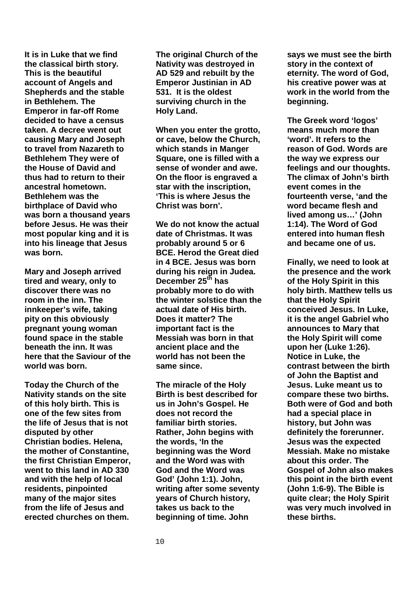**It is in Luke that we find the classical birth story. This is the beautiful account of Angels and Shepherds and the stable in Bethlehem. The Emperor in far-off Rome decided to have a census taken. A decree went out causing Mary and Joseph to travel from Nazareth to Bethlehem They were of the House of David and thus had to return to their ancestral hometown. Bethlehem was the birthplace of David who was born a thousand years before Jesus. He was their most popular king and it is into his lineage that Jesus was born.** 

**Mary and Joseph arrived tired and weary, only to discover there was no room in the inn. The innkeeper's wife, taking pity on this obviously pregnant young woman found space in the stable beneath the inn. It was here that the Saviour of the world was born.** 

**Today the Church of the Nativity stands on the site of this holy birth. This is one of the few sites from the life of Jesus that is not disputed by other Christian bodies. Helena, the mother of Constantine, the first Christian Emperor, went to this land in AD 330 and with the help of local residents, pinpointed many of the major sites from the life of Jesus and erected churches on them.** 

**The original Church of the Nativity was destroyed in AD 529 and rebuilt by the Emperor Justinian in AD 531. It is the oldest surviving church in the Holy Land.** 

**When you enter the grotto, or cave, below the Church, which stands in Manger Square, one is filled with a sense of wonder and awe. On the floor is engraved a star with the inscription, 'This is where Jesus the Christ was born'.** 

**We do not know the actual date of Christmas. It was probably around 5 or 6 BCE. Herod the Great died in 4 BCE. Jesus was born during his reign in Judea. December 25th has probably more to do with the winter solstice than the actual date of His birth. Does it matter? The important fact is the Messiah was born in that ancient place and the world has not been the same since.** 

**The miracle of the Holy Birth is best described for us in John's Gospel. He does not record the familiar birth stories. Rather, John begins with the words, 'In the beginning was the Word and the Word was with God and the Word was God' (John 1:1). John, writing after some seventy years of Church history, takes us back to the beginning of time. John** 

**says we must see the birth story in the context of eternity. The word of God, his creative power was at work in the world from the beginning.** 

**The Greek word 'logos' means much more than 'word'. It refers to the reason of God. Words are the way we express our feelings and our thoughts. The climax of John's birth event comes in the fourteenth verse, 'and the word became flesh and lived among us…' (John 1:14). The Word of God entered into human flesh and became one of us.** 

**Finally, we need to look at the presence and the work of the Holy Spirit in this holy birth. Matthew tells us that the Holy Spirit conceived Jesus. In Luke, it is the angel Gabriel who announces to Mary that the Holy Spirit will come upon her (Luke 1:26). Notice in Luke, the contrast between the birth of John the Baptist and Jesus. Luke meant us to compare these two births. Both were of God and both had a special place in history, but John was definitely the forerunner. Jesus was the expected Messiah. Make no mistake about this order. The Gospel of John also makes this point in the birth event (John 1:6-9). The Bible is quite clear; the Holy Spirit was very much involved in these births.**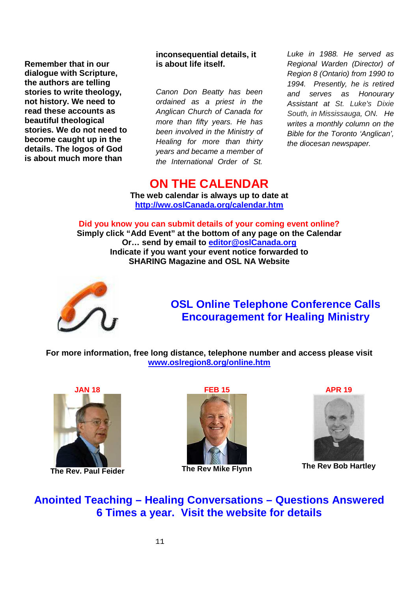**Remember that in our dialogue with Scripture, the authors are telling stories to write theology, not history. We need to read these accounts as beautiful theological stories. We do not need to become caught up in the details. The logos of God is about much more than** 

**inconsequential details, it is about life itself.** 

Canon Don Beatty has been ordained as a priest in the Anglican Church of Canada for more than fifty years. He has been involved in the Ministry of Healing for more than thirty years and became a member of the International Order of St. Luke in 1988. He served as Regional Warden (Director) of Region 8 (Ontario) from 1990 to 1994. Presently, he is retired and serves as Honourary Assistant at St. Luke's Dixie South, in Mississauga, ON. He writes a monthly column on the Bible for the Toronto 'Anglican', the diocesan newspaper.

### **ON THE CALENDAR**

**The web calendar is always up to date at http://ww.oslCanada.org/calendar.htm**

**Did you know you can submit details of your coming event online? Simply click "Add Event" at the bottom of any page on the Calendar Or… send by email to editor@oslCanada.org Indicate if you want your event notice forwarded to SHARING Magazine and OSL NA Website** 



### **OSL Online Telephone Conference Calls Encouragement for Healing Ministry**

**For more information, free long distance, telephone number and access please visit www.oslregion8.org/online.htm**



**The Rev. Paul Feider** 



**The Rev Mike Flynn** 



**The Rev Bob Hartley** 

**Anointed Teaching – Healing Conversations – Questions Answered 6 Times a year. Visit the website for details**